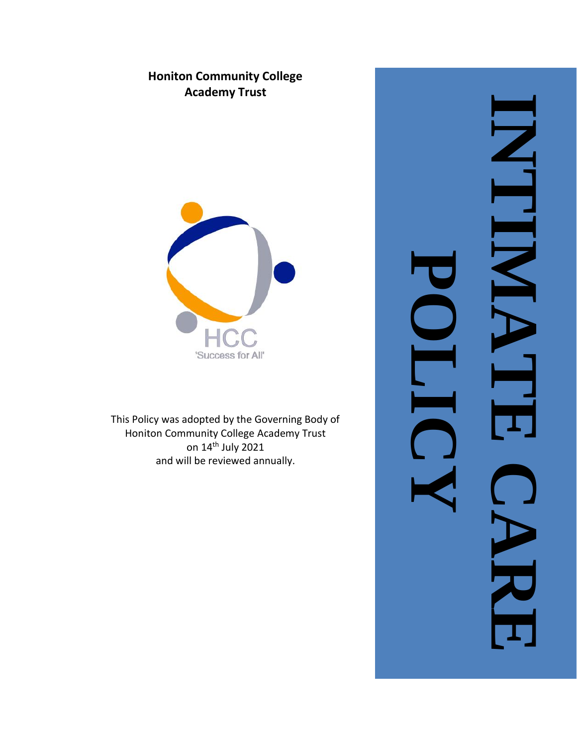## **Honiton Community College Academy Trust**



This Policy was adopted by the Governing Body of Honiton Community College Academy Trust on 14<sup>th</sup> July 2021 and will be reviewed annually .

**INTIMATE CARE**  $\overline{\phantom{0}}$ **POLICY**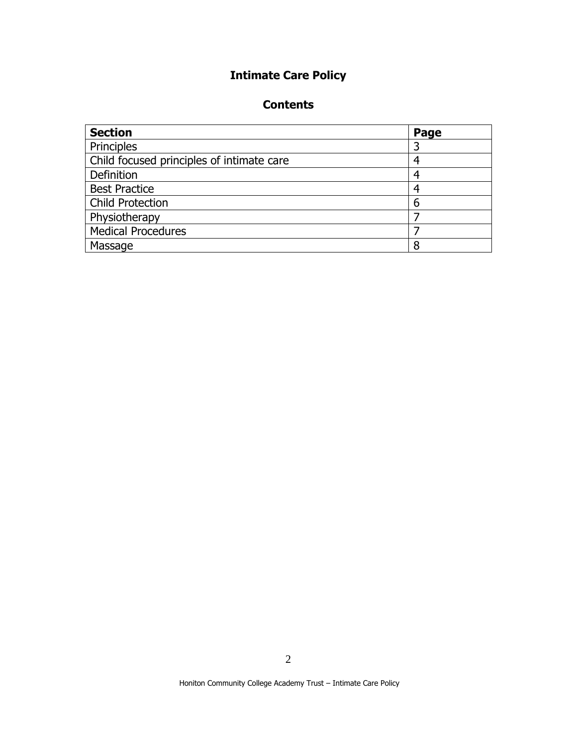# **Intimate Care Policy**

## **Contents**

| <b>Section</b>                            | Page |
|-------------------------------------------|------|
| Principles                                |      |
| Child focused principles of intimate care |      |
| Definition                                |      |
| <b>Best Practice</b>                      |      |
| <b>Child Protection</b>                   | 6    |
| Physiotherapy                             |      |
| <b>Medical Procedures</b>                 |      |
| Massage                                   |      |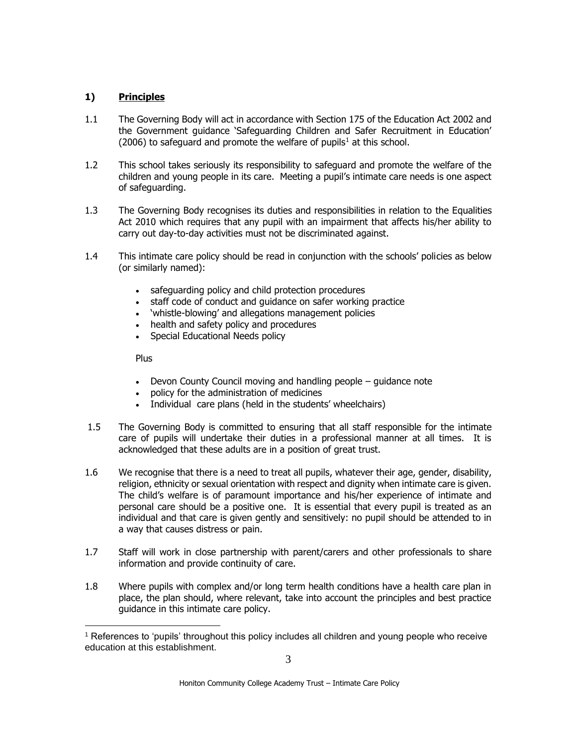## **1) Principles**

- 1.1 The Governing Body will act in accordance with Section 175 of the Education Act 2002 and the Government guidance 'Safeguarding Children and Safer Recruitment in Education' (2006) to safeguard and promote the welfare of pupils<sup>1</sup> at this school.
- 1.2 This school takes seriously its responsibility to safeguard and promote the welfare of the children and young people in its care. Meeting a pupil's intimate care needs is one aspect of safeguarding.
- 1.3 The Governing Body recognises its duties and responsibilities in relation to the Equalities Act 2010 which requires that any pupil with an impairment that affects his/her ability to carry out day-to-day activities must not be discriminated against.
- 1.4 This intimate care policy should be read in conjunction with the schools' policies as below (or similarly named):
	- safeguarding policy and child protection procedures
	- staff code of conduct and guidance on safer working practice
	- 'whistle-blowing' and allegations management policies
	- health and safety policy and procedures
	- Special Educational Needs policy

Plus

- Devon County Council moving and handling people guidance note
- policy for the administration of medicines
- Individual care plans (held in the students' wheelchairs)
- 1.5 The Governing Body is committed to ensuring that all staff responsible for the intimate care of pupils will undertake their duties in a professional manner at all times. It is acknowledged that these adults are in a position of great trust.
- 1.6 We recognise that there is a need to treat all pupils, whatever their age, gender, disability, religion, ethnicity or sexual orientation with respect and dignity when intimate care is given. The child's welfare is of paramount importance and his/her experience of intimate and personal care should be a positive one. It is essential that every pupil is treated as an individual and that care is given gently and sensitively: no pupil should be attended to in a way that causes distress or pain.
- 1.7 Staff will work in close partnership with parent/carers and other professionals to share information and provide continuity of care.
- 1.8 Where pupils with complex and/or long term health conditions have a health care plan in place, the plan should, where relevant, take into account the principles and best practice guidance in this intimate care policy.

<sup>&</sup>lt;sup>1</sup> References to 'pupils' throughout this policy includes all children and young people who receive education at this establishment.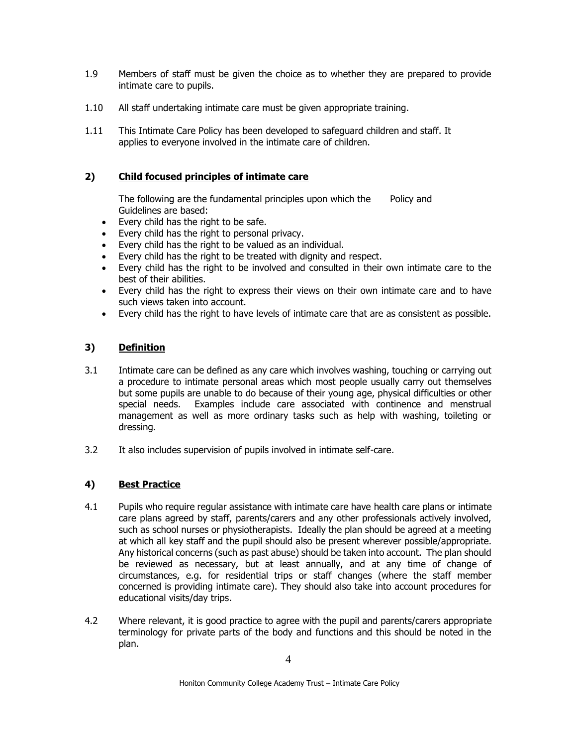- 1.9 Members of staff must be given the choice as to whether they are prepared to provide intimate care to pupils.
- 1.10 All staff undertaking intimate care must be given appropriate training.
- 1.11 This Intimate Care Policy has been developed to safeguard children and staff. It applies to everyone involved in the intimate care of children.

## **2) Child focused principles of intimate care**

The following are the fundamental principles upon which the Policy and Guidelines are based:

- Every child has the right to be safe.
- Every child has the right to personal privacy.
- Every child has the right to be valued as an individual.
- Every child has the right to be treated with dignity and respect.
- Every child has the right to be involved and consulted in their own intimate care to the best of their abilities.
- Every child has the right to express their views on their own intimate care and to have such views taken into account.
- Every child has the right to have levels of intimate care that are as consistent as possible.

## **3) Definition**

- 3.1 Intimate care can be defined as any care which involves washing, touching or carrying out a procedure to intimate personal areas which most people usually carry out themselves but some pupils are unable to do because of their young age, physical difficulties or other special needs. Examples include care associated with continence and menstrual management as well as more ordinary tasks such as help with washing, toileting or dressing.
- 3.2 It also includes supervision of pupils involved in intimate self-care.

## **4) Best Practice**

- 4.1 Pupils who require regular assistance with intimate care have health care plans or intimate care plans agreed by staff, parents/carers and any other professionals actively involved, such as school nurses or physiotherapists. Ideally the plan should be agreed at a meeting at which all key staff and the pupil should also be present wherever possible/appropriate. Any historical concerns (such as past abuse) should be taken into account. The plan should be reviewed as necessary, but at least annually, and at any time of change of circumstances, e.g. for residential trips or staff changes (where the staff member concerned is providing intimate care). They should also take into account procedures for educational visits/day trips.
- 4.2 Where relevant, it is good practice to agree with the pupil and parents/carers appropriate terminology for private parts of the body and functions and this should be noted in the plan.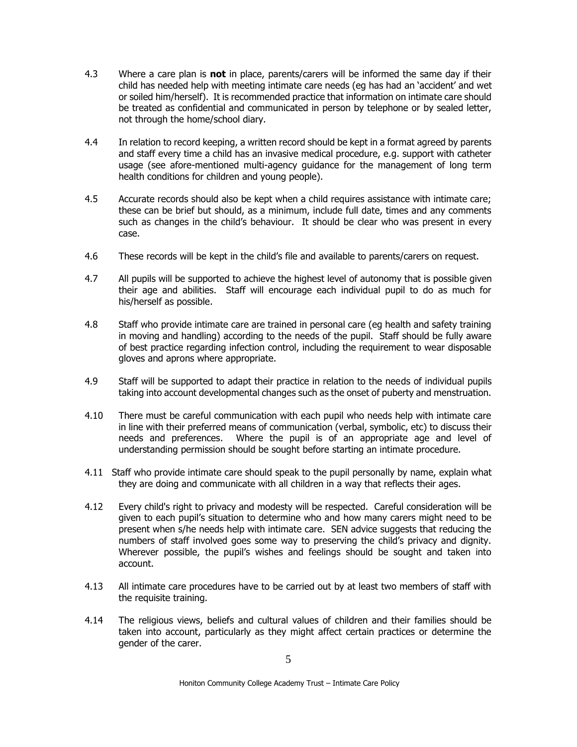- 4.3 Where a care plan is **not** in place, parents/carers will be informed the same day if their child has needed help with meeting intimate care needs (eg has had an 'accident' and wet or soiled him/herself). It is recommended practice that information on intimate care should be treated as confidential and communicated in person by telephone or by sealed letter, not through the home/school diary.
- 4.4 In relation to record keeping, a written record should be kept in a format agreed by parents and staff every time a child has an invasive medical procedure, e.g. support with catheter usage (see afore-mentioned multi-agency guidance for the management of long term health conditions for children and young people).
- 4.5 Accurate records should also be kept when a child requires assistance with intimate care; these can be brief but should, as a minimum, include full date, times and any comments such as changes in the child's behaviour. It should be clear who was present in every case.
- 4.6 These records will be kept in the child's file and available to parents/carers on request.
- 4.7 All pupils will be supported to achieve the highest level of autonomy that is possible given their age and abilities. Staff will encourage each individual pupil to do as much for his/herself as possible.
- 4.8 Staff who provide intimate care are trained in personal care (eg health and safety training in moving and handling) according to the needs of the pupil. Staff should be fully aware of best practice regarding infection control, including the requirement to wear disposable gloves and aprons where appropriate.
- 4.9 Staff will be supported to adapt their practice in relation to the needs of individual pupils taking into account developmental changes such as the onset of puberty and menstruation.
- 4.10 There must be careful communication with each pupil who needs help with intimate care in line with their preferred means of communication (verbal, symbolic, etc) to discuss their needs and preferences. Where the pupil is of an appropriate age and level of understanding permission should be sought before starting an intimate procedure.
- 4.11 Staff who provide intimate care should speak to the pupil personally by name, explain what they are doing and communicate with all children in a way that reflects their ages.
- 4.12 Every child's right to privacy and modesty will be respected. Careful consideration will be given to each pupil's situation to determine who and how many carers might need to be present when s/he needs help with intimate care. SEN advice suggests that reducing the numbers of staff involved goes some way to preserving the child's privacy and dignity. Wherever possible, the pupil's wishes and feelings should be sought and taken into account.
- 4.13 All intimate care procedures have to be carried out by at least two members of staff with the requisite training.
- 4.14 The religious views, beliefs and cultural values of children and their families should be taken into account, particularly as they might affect certain practices or determine the gender of the carer.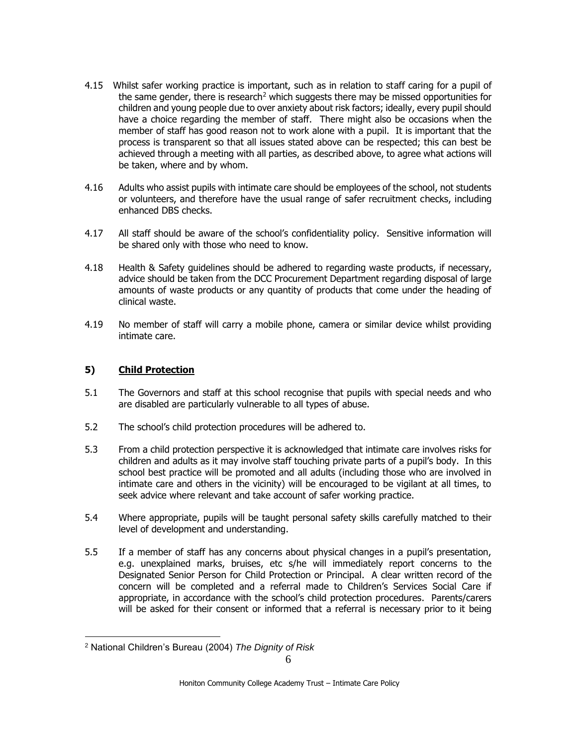- 4.15 Whilst safer working practice is important, such as in relation to staff caring for a pupil of the same gender, there is research<sup>2</sup> which suggests there may be missed opportunities for children and young people due to over anxiety about risk factors; ideally, every pupil should have a choice regarding the member of staff. There might also be occasions when the member of staff has good reason not to work alone with a pupil. It is important that the process is transparent so that all issues stated above can be respected; this can best be achieved through a meeting with all parties, as described above, to agree what actions will be taken, where and by whom.
- 4.16 Adults who assist pupils with intimate care should be employees of the school, not students or volunteers, and therefore have the usual range of safer recruitment checks, including enhanced DBS checks.
- 4.17 All staff should be aware of the school's confidentiality policy. Sensitive information will be shared only with those who need to know.
- 4.18 Health & Safety guidelines should be adhered to regarding waste products, if necessary, advice should be taken from the DCC Procurement Department regarding disposal of large amounts of waste products or any quantity of products that come under the heading of clinical waste.
- 4.19 No member of staff will carry a mobile phone, camera or similar device whilst providing intimate care.

#### **5) Child Protection**

- 5.1 The Governors and staff at this school recognise that pupils with special needs and who are disabled are particularly vulnerable to all types of abuse.
- 5.2 The school's child protection procedures will be adhered to.
- 5.3 From a child protection perspective it is acknowledged that intimate care involves risks for children and adults as it may involve staff touching private parts of a pupil's body. In this school best practice will be promoted and all adults (including those who are involved in intimate care and others in the vicinity) will be encouraged to be vigilant at all times, to seek advice where relevant and take account of safer working practice.
- 5.4 Where appropriate, pupils will be taught personal safety skills carefully matched to their level of development and understanding.
- 5.5 If a member of staff has any concerns about physical changes in a pupil's presentation, e.g. unexplained marks, bruises, etc s/he will immediately report concerns to the Designated Senior Person for Child Protection or Principal. A clear written record of the concern will be completed and a referral made to Children's Services Social Care if appropriate, in accordance with the school's child protection procedures. Parents/carers will be asked for their consent or informed that a referral is necessary prior to it being

<sup>2</sup> National Children's Bureau (2004) *The Dignity of Risk*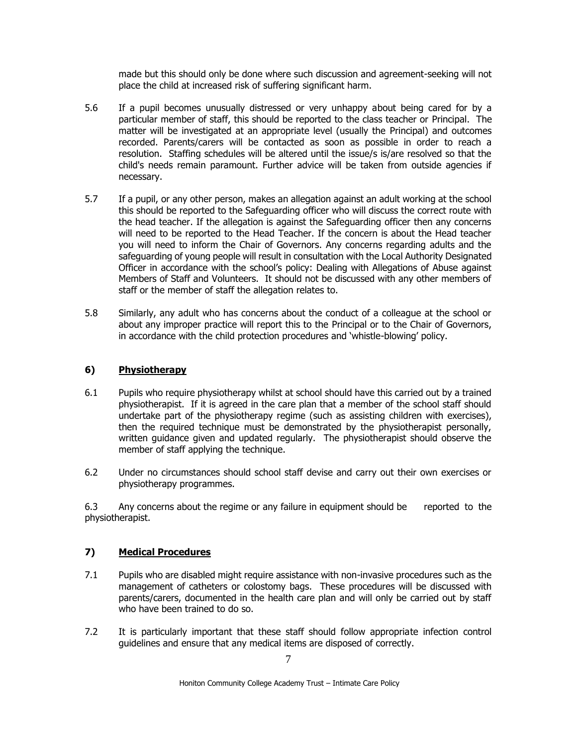made but this should only be done where such discussion and agreement-seeking will not place the child at increased risk of suffering significant harm.

- 5.6 If a pupil becomes unusually distressed or very unhappy about being cared for by a particular member of staff, this should be reported to the class teacher or Principal. The matter will be investigated at an appropriate level (usually the Principal) and outcomes recorded. Parents/carers will be contacted as soon as possible in order to reach a resolution. Staffing schedules will be altered until the issue/s is/are resolved so that the child's needs remain paramount. Further advice will be taken from outside agencies if necessary.
- 5.7 If a pupil, or any other person, makes an allegation against an adult working at the school this should be reported to the Safeguarding officer who will discuss the correct route with the head teacher. If the allegation is against the Safeguarding officer then any concerns will need to be reported to the Head Teacher. If the concern is about the Head teacher you will need to inform the Chair of Governors. Any concerns regarding adults and the safeguarding of young people will result in consultation with the Local Authority Designated Officer in accordance with the school's policy: Dealing with Allegations of Abuse against Members of Staff and Volunteers. It should not be discussed with any other members of staff or the member of staff the allegation relates to.
- 5.8 Similarly, any adult who has concerns about the conduct of a colleague at the school or about any improper practice will report this to the Principal or to the Chair of Governors, in accordance with the child protection procedures and 'whistle-blowing' policy.

#### **6) Physiotherapy**

- 6.1 Pupils who require physiotherapy whilst at school should have this carried out by a trained physiotherapist. If it is agreed in the care plan that a member of the school staff should undertake part of the physiotherapy regime (such as assisting children with exercises), then the required technique must be demonstrated by the physiotherapist personally, written guidance given and updated regularly. The physiotherapist should observe the member of staff applying the technique.
- 6.2 Under no circumstances should school staff devise and carry out their own exercises or physiotherapy programmes.

6.3 Any concerns about the regime or any failure in equipment should be reported to the physiotherapist.

#### **7) Medical Procedures**

- 7.1 Pupils who are disabled might require assistance with non-invasive procedures such as the management of catheters or colostomy bags. These procedures will be discussed with parents/carers, documented in the health care plan and will only be carried out by staff who have been trained to do so.
- 7.2 It is particularly important that these staff should follow appropriate infection control guidelines and ensure that any medical items are disposed of correctly.